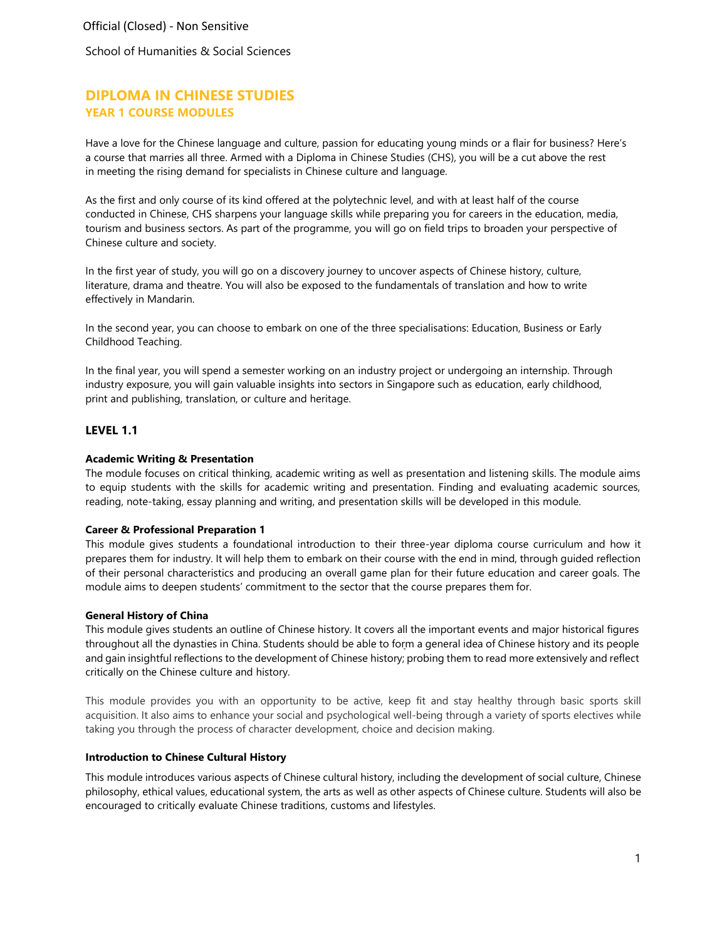School of Humanities & Social Sciences

# **DIPLOMA IN CHINESE STUDIES YEAR 1 COURSE MODULES**

Have a love for the Chinese language and culture, passion for educating young minds or a flair for business? Here's a course that marries all three. Armed with a Diploma in Chinese Studies (CHS), you will be a cut above the rest in meeting the rising demand for specialists in Chinese culture and language.

As the first and only course of its kind offered at the polytechnic level, and with at least half of the course conducted in Chinese, CHS sharpens your language skills while preparing you for careers in the education, media, tourism and business sectors. As part of the programme, you will go on field trips to broaden your perspective of Chinese culture and society.

In the first year of study, you will go on a discovery journey to uncover aspects of Chinese history, culture, literature, drama and theatre. You will also be exposed to the fundamentals of translation and how to write effectively in Mandarin.

In the second year, you can choose to embark on one of the three specialisations: Education, Business or Early Childhood Teaching.

In the final year, you will spend a semester working on an industry project or undergoing an internship. Through industry exposure, you will gain valuable insights into sectors in Singapore such as education, early childhood, print and publishing, translation, or culture and heritage.

## **LEVEL 1.1**

### **Academic Writing & Presentation**

The module focuses on critical thinking, academic writing as well as presentation and listening skills. The module aims to equip students with the skills for academic writing and presentation. Finding and evaluating academic sources, reading, note-taking, essay planning and writing, and presentation skills will be developed in this module.

### **Career & Professional Preparation 1**

This module gives students a foundational introduction to their three-year diploma course curriculum and how it prepares them for industry. It will help them to embark on their course with the end in mind, through guided reflection of their personal characteristics and producing an overall game plan for their future education and career goals. The module aims to deepen students' commitment to the sector that the course prepares them for.

### **General History of China**

This module gives students an outline of Chinese history. It covers all the important events and major historical figures throughout all the dynasties in China. Students should be able to form a general idea of Chinese history and its people and gain insightful reflections to the development of Chinese history; probing them to read more extensively and reflect critically on the Chinese culture and history.

This module provides you with an opportunity to be active, keep fit and stay healthy through basic sports skill acquisition. It also aims to enhance your social and psychological well-being through a variety of sports electives while taking you through the process of character development, choice and decision making.

#### **Introduction to Chinese Cultural History**

This module introduces various aspects of Chinese cultural history, including the development of social culture, Chinese philosophy, ethical values, educational system, the arts as well as other aspects of Chinese culture. Students will also be encouraged to critically evaluate Chinese traditions, customs and lifestyles.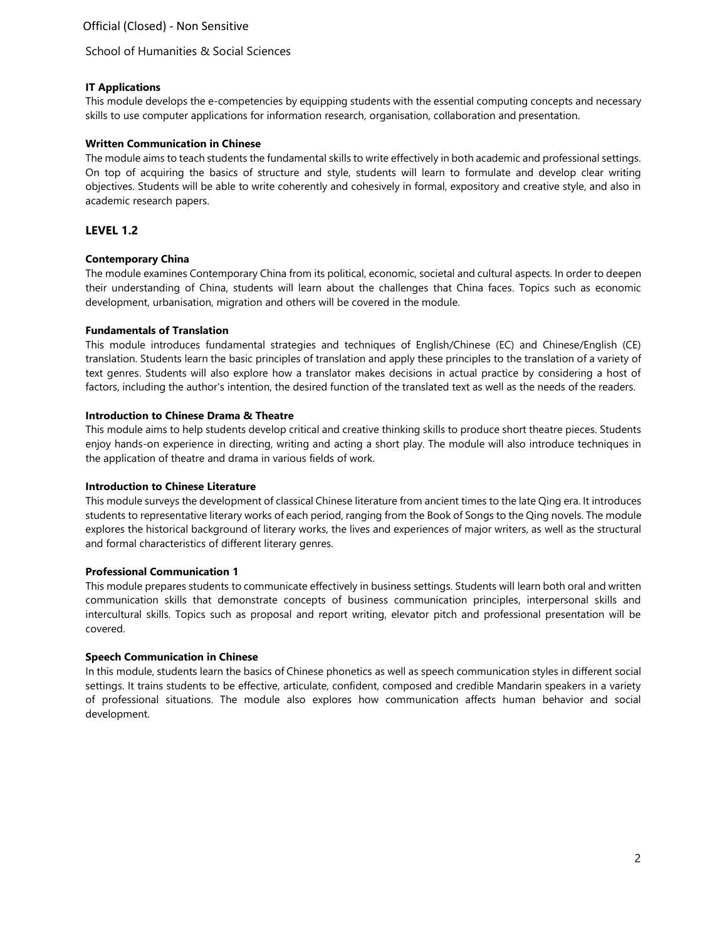## **IT Applications**

This module develops the e-competencies by equipping students with the essential computing concepts and necessary skills to use computer applications for information research, organisation, collaboration and presentation.

## **Written Communication in Chinese**

The module aims to teach students the fundamental skills to write effectively in both academic and professional settings. On top of acquiring the basics of structure and style, students will learn to formulate and develop clear writing objectives. Students will be able to write coherently and cohesively in formal, expository and creative style, and also in academic research papers.

## **LEVEL 1.2**

## **Contemporary China**

The module examines Contemporary China from its political, economic, societal and cultural aspects. In order to deepen their understanding of China, students will learn about the challenges that China faces. Topics such as economic development, urbanisation, migration and others will be covered in the module.

## **Fundamentals of Translation**

This module introduces fundamental strategies and techniques of English/Chinese (EC) and Chinese/English (CE) translation. Students learn the basic principles of translation and apply these principles to the translation of a variety of text genres. Students will also explore how a translator makes decisions in actual practice by considering a host of factors, including the author's intention, the desired function of the translated text as well as the needs of the readers.

### **Introduction to Chinese Drama & Theatre**

This module aims to help students develop critical and creative thinking skills to produce short theatre pieces. Students enjoy hands-on experience in directing, writing and acting a short play. The module will also introduce techniques in the application of theatre and drama in various fields of work.

### **Introduction to Chinese Literature**

This module surveys the development of classical Chinese literature from ancient times to the late Qing era. It introduces students to representative literary works of each period, ranging from the Book of Songs to the Qing novels. The module explores the historical background of literary works, the lives and experiences of major writers, as well as the structural and formal characteristics of different literary genres.

### **Professional Communication 1**

This module prepares students to communicate effectively in business settings. Students will learn both oral and written communication skills that demonstrate concepts of business communication principles, interpersonal skills and intercultural skills. Topics such as proposal and report writing, elevator pitch and professional presentation will be covered.

## **Speech Communication in Chinese**

In this module, students learn the basics of Chinese phonetics as well as speech communication styles in different social settings. It trains students to be effective, articulate, confident, composed and credible Mandarin speakers in a variety of professional situations. The module also explores how communication affects human behavior and social development.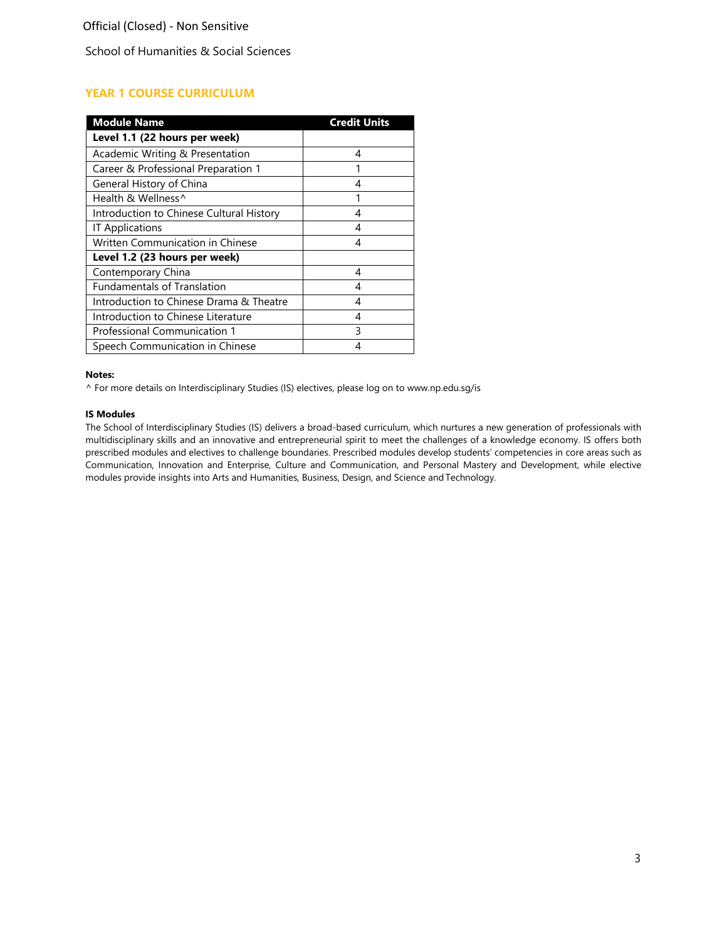# **YEAR 1 COURSE CURRICULUM**

| <b>Module Name</b>                       | <b>Credit Units</b> |
|------------------------------------------|---------------------|
| Level 1.1 (22 hours per week)            |                     |
| Academic Writing & Presentation          | 4                   |
| Career & Professional Preparation 1      | 1                   |
| General History of China                 | 4                   |
| Health & Wellness^                       |                     |
| Introduction to Chinese Cultural History | 4                   |
| <b>IT Applications</b>                   | 4                   |
| Written Communication in Chinese         | 4                   |
| Level 1.2 (23 hours per week)            |                     |
| Contemporary China                       | 4                   |
| <b>Fundamentals of Translation</b>       | 4                   |
| Introduction to Chinese Drama & Theatre  | 4                   |
| Introduction to Chinese Literature       | 4                   |
| Professional Communication 1             | 3                   |
| Speech Communication in Chinese          | 4                   |

#### **Notes:**

^ For more details on Interdisciplinary Studies (IS) electives, please log on to [www.np.edu.sg/is](http://www.np.edu.sg/is)

## **IS Modules**

The School of Interdisciplinary Studies (IS) delivers a broad-based curriculum, which nurtures a new generation of professionals with multidisciplinary skills and an innovative and entrepreneurial spirit to meet the challenges of a knowledge economy. IS offers both prescribed modules and electives to challenge boundaries. Prescribed modules develop students' competencies in core areas such as Communication, Innovation and Enterprise, Culture and Communication, and Personal Mastery and Development, while elective modules provide insights into Arts and Humanities, Business, Design, and Science andTechnology.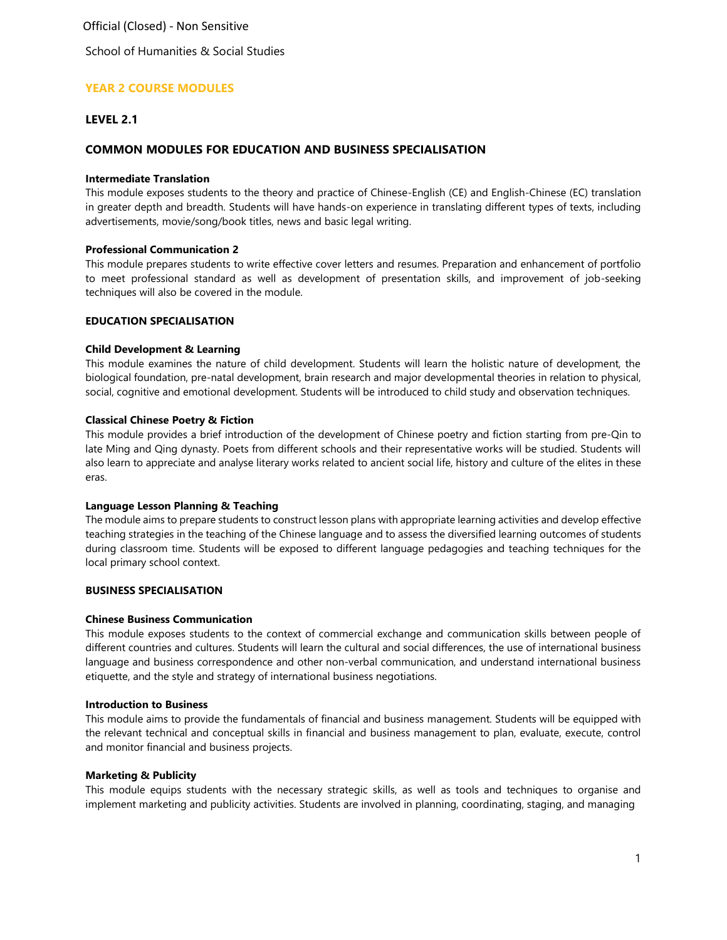School of Humanities & Social Studies

## **YEAR 2 COURSE MODULES**

## **LEVEL 2.1**

## **COMMON MODULES FOR EDUCATION AND BUSINESS SPECIALISATION**

#### **Intermediate Translation**

This module exposes students to the theory and practice of Chinese-English (CE) and English-Chinese (EC) translation in greater depth and breadth. Students will have hands-on experience in translating different types of texts, including advertisements, movie/song/book titles, news and basic legal writing.

#### **Professional Communication 2**

This module prepares students to write effective cover letters and resumes. Preparation and enhancement of portfolio to meet professional standard as well as development of presentation skills, and improvement of job-seeking techniques will also be covered in the module.

## **EDUCATION SPECIALISATION**

#### **Child Development & Learning**

This module examines the nature of child development. Students will learn the holistic nature of development, the biological foundation, pre-natal development, brain research and major developmental theories in relation to physical, social, cognitive and emotional development. Students will be introduced to child study and observation techniques.

#### **Classical Chinese Poetry & Fiction**

This module provides a brief introduction of the development of Chinese poetry and fiction starting from pre-Qin to late Ming and Qing dynasty. Poets from different schools and their representative works will be studied. Students will also learn to appreciate and analyse literary works related to ancient social life, history and culture of the elites in these eras.

#### **Language Lesson Planning & Teaching**

The module aims to prepare students to construct lesson plans with appropriate learning activities and develop effective teaching strategies in the teaching of the Chinese language and to assess the diversified learning outcomes of students during classroom time. Students will be exposed to different language pedagogies and teaching techniques for the local primary school context.

### **BUSINESS SPECIALISATION**

#### **Chinese Business Communication**

This module exposes students to the context of commercial exchange and communication skills between people of different countries and cultures. Students will learn the cultural and social differences, the use of international business language and business correspondence and other non-verbal communication, and understand international business etiquette, and the style and strategy of international business negotiations.

#### **Introduction to Business**

This module aims to provide the fundamentals of financial and business management. Students will be equipped with the relevant technical and conceptual skills in financial and business management to plan, evaluate, execute, control and monitor financial and business projects.

#### **Marketing & Publicity**

This module equips students with the necessary strategic skills, as well as tools and techniques to organise and implement marketing and publicity activities. Students are involved in planning, coordinating, staging, and managing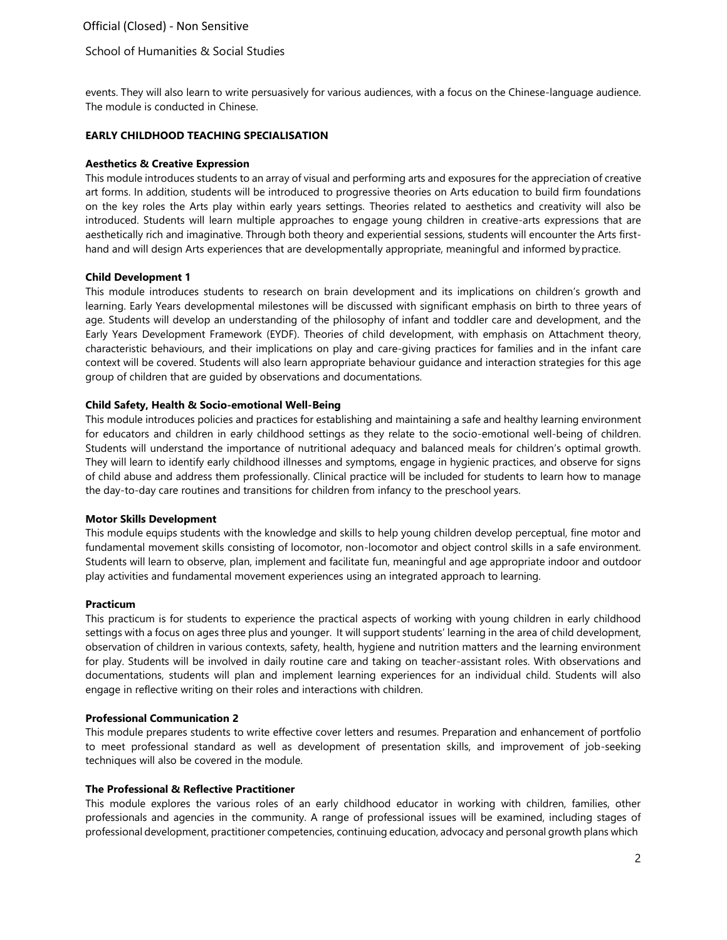## School of Humanities & Social Studies

events. They will also learn to write persuasively for various audiences, with a focus on the Chinese-language audience. The module is conducted in Chinese.

#### **EARLY CHILDHOOD TEACHING SPECIALISATION**

#### **Aesthetics & Creative Expression**

This module introduces students to an array of visual and performing arts and exposures for the appreciation of creative art forms. In addition, students will be introduced to progressive theories on Arts education to build firm foundations on the key roles the Arts play within early years settings. Theories related to aesthetics and creativity will also be introduced. Students will learn multiple approaches to engage young children in creative-arts expressions that are aesthetically rich and imaginative. Through both theory and experiential sessions, students will encounter the Arts firsthand and will design Arts experiences that are developmentally appropriate, meaningful and informed bypractice.

#### **Child Development 1**

This module introduces students to research on brain development and its implications on children's growth and learning. Early Years developmental milestones will be discussed with significant emphasis on birth to three years of age. Students will develop an understanding of the philosophy of infant and toddler care and development, and the Early Years Development Framework (EYDF). Theories of child development, with emphasis on Attachment theory, characteristic behaviours, and their implications on play and care-giving practices for families and in the infant care context will be covered. Students will also learn appropriate behaviour guidance and interaction strategies for this age group of children that are guided by observations and documentations.

#### **Child Safety, Health & Socio-emotional Well-Being**

This module introduces policies and practices for establishing and maintaining a safe and healthy learning environment for educators and children in early childhood settings as they relate to the socio-emotional well-being of children. Students will understand the importance of nutritional adequacy and balanced meals for children's optimal growth. They will learn to identify early childhood illnesses and symptoms, engage in hygienic practices, and observe for signs of child abuse and address them professionally. Clinical practice will be included for students to learn how to manage the day-to-day care routines and transitions for children from infancy to the preschool years.

#### **Motor Skills Development**

This module equips students with the knowledge and skills to help young children develop perceptual, fine motor and fundamental movement skills consisting of locomotor, non-locomotor and object control skills in a safe environment. Students will learn to observe, plan, implement and facilitate fun, meaningful and age appropriate indoor and outdoor play activities and fundamental movement experiences using an integrated approach to learning.

#### **Practicum**

This practicum is for students to experience the practical aspects of working with young children in early childhood settings with a focus on ages three plus and younger. It will support students' learning in the area of child development, observation of children in various contexts, safety, health, hygiene and nutrition matters and the learning environment for play. Students will be involved in daily routine care and taking on teacher-assistant roles. With observations and documentations, students will plan and implement learning experiences for an individual child. Students will also engage in reflective writing on their roles and interactions with children.

#### **Professional Communication 2**

This module prepares students to write effective cover letters and resumes. Preparation and enhancement of portfolio to meet professional standard as well as development of presentation skills, and improvement of job-seeking techniques will also be covered in the module.

#### **The Professional & Reflective Practitioner**

This module explores the various roles of an early childhood educator in working with children, families, other professionals and agencies in the community. A range of professional issues will be examined, including stages of professional development, practitioner competencies, continuing education, advocacy and personal growth plans which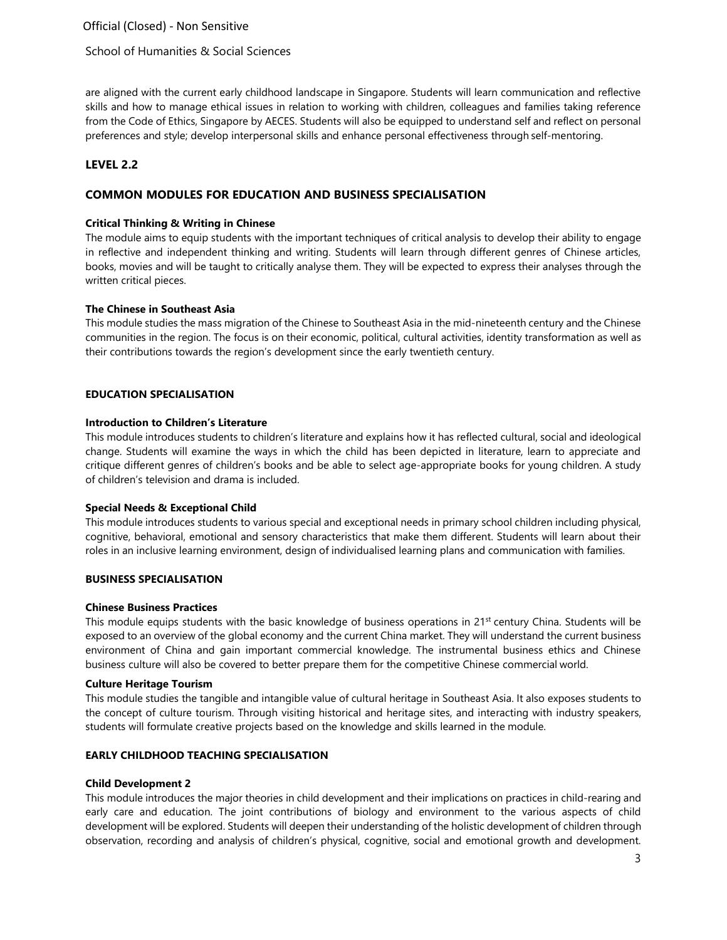School of Humanities & Social Sciences

are aligned with the current early childhood landscape in Singapore. Students will learn communication and reflective skills and how to manage ethical issues in relation to working with children, colleagues and families taking reference from the Code of Ethics, Singapore by AECES. Students will also be equipped to understand self and reflect on personal preferences and style; develop interpersonal skills and enhance personal effectiveness through self-mentoring.

## **LEVEL 2.2**

## **COMMON MODULES FOR EDUCATION AND BUSINESS SPECIALISATION**

### **Critical Thinking & Writing in Chinese**

The module aims to equip students with the important techniques of critical analysis to develop their ability to engage in reflective and independent thinking and writing. Students will learn through different genres of Chinese articles, books, movies and will be taught to critically analyse them. They will be expected to express their analyses through the written critical pieces.

### **The Chinese in Southeast Asia**

This module studies the mass migration of the Chinese to Southeast Asia in the mid-nineteenth century and the Chinese communities in the region. The focus is on their economic, political, cultural activities, identity transformation as well as their contributions towards the region's development since the early twentieth century.

### **EDUCATION SPECIALISATION**

#### **Introduction to Children's Literature**

This module introduces students to children's literature and explains how it has reflected cultural, social and ideological change. Students will examine the ways in which the child has been depicted in literature, learn to appreciate and critique different genres of children's books and be able to select age-appropriate books for young children. A study of children's television and drama is included.

### **Special Needs & Exceptional Child**

This module introduces students to various special and exceptional needs in primary school children including physical, cognitive, behavioral, emotional and sensory characteristics that make them different. Students will learn about their roles in an inclusive learning environment, design of individualised learning plans and communication with families.

### **BUSINESS SPECIALISATION**

#### **Chinese Business Practices**

This module equips students with the basic knowledge of business operations in  $21<sup>st</sup>$  century China. Students will be exposed to an overview of the global economy and the current China market. They will understand the current business environment of China and gain important commercial knowledge. The instrumental business ethics and Chinese business culture will also be covered to better prepare them for the competitive Chinese commercial world.

### **Culture Heritage Tourism**

This module studies the tangible and intangible value of cultural heritage in Southeast Asia. It also exposes students to the concept of culture tourism. Through visiting historical and heritage sites, and interacting with industry speakers, students will formulate creative projects based on the knowledge and skills learned in the module.

### **EARLY CHILDHOOD TEACHING SPECIALISATION**

### **Child Development 2**

This module introduces the major theories in child development and their implications on practices in child-rearing and early care and education. The joint contributions of biology and environment to the various aspects of child development will be explored. Students will deepen their understanding of the holistic development of children through observation, recording and analysis of children's physical, cognitive, social and emotional growth and development.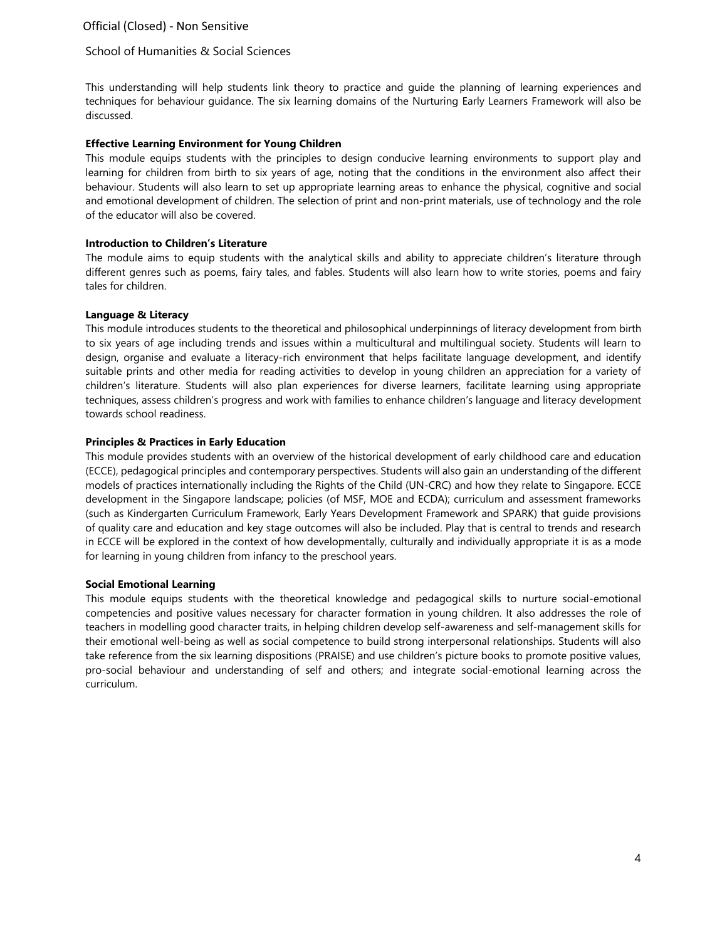### School of Humanities & Social Sciences

This understanding will help students link theory to practice and guide the planning of learning experiences and techniques for behaviour guidance. The six learning domains of the Nurturing Early Learners Framework will also be discussed.

### **Effective Learning Environment for Young Children**

This module equips students with the principles to design conducive learning environments to support play and learning for children from birth to six years of age, noting that the conditions in the environment also affect their behaviour. Students will also learn to set up appropriate learning areas to enhance the physical, cognitive and social and emotional development of children. The selection of print and non-print materials, use of technology and the role of the educator will also be covered.

### **Introduction to Children's Literature**

The module aims to equip students with the analytical skills and ability to appreciate children's literature through different genres such as poems, fairy tales, and fables. Students will also learn how to write stories, poems and fairy tales for children.

## **Language & Literacy**

This module introduces students to the theoretical and philosophical underpinnings of literacy development from birth to six years of age including trends and issues within a multicultural and multilingual society. Students will learn to design, organise and evaluate a literacy-rich environment that helps facilitate language development, and identify suitable prints and other media for reading activities to develop in young children an appreciation for a variety of children's literature. Students will also plan experiences for diverse learners, facilitate learning using appropriate techniques, assess children's progress and work with families to enhance children's language and literacy development towards school readiness.

## **Principles & Practices in Early Education**

This module provides students with an overview of the historical development of early childhood care and education (ECCE), pedagogical principles and contemporary perspectives. Students will also gain an understanding of the different models of practices internationally including the Rights of the Child (UN-CRC) and how they relate to Singapore. ECCE development in the Singapore landscape; policies (of MSF, MOE and ECDA); curriculum and assessment frameworks (such as Kindergarten Curriculum Framework, Early Years Development Framework and SPARK) that guide provisions of quality care and education and key stage outcomes will also be included. Play that is central to trends and research in ECCE will be explored in the context of how developmentally, culturally and individually appropriate it is as a mode for learning in young children from infancy to the preschool years.

### **Social Emotional Learning**

This module equips students with the theoretical knowledge and pedagogical skills to nurture social-emotional competencies and positive values necessary for character formation in young children. It also addresses the role of teachers in modelling good character traits, in helping children develop self-awareness and self-management skills for their emotional well-being as well as social competence to build strong interpersonal relationships. Students will also take reference from the six learning dispositions (PRAISE) and use children's picture books to promote positive values, pro-social behaviour and understanding of self and others; and integrate social-emotional learning across the curriculum.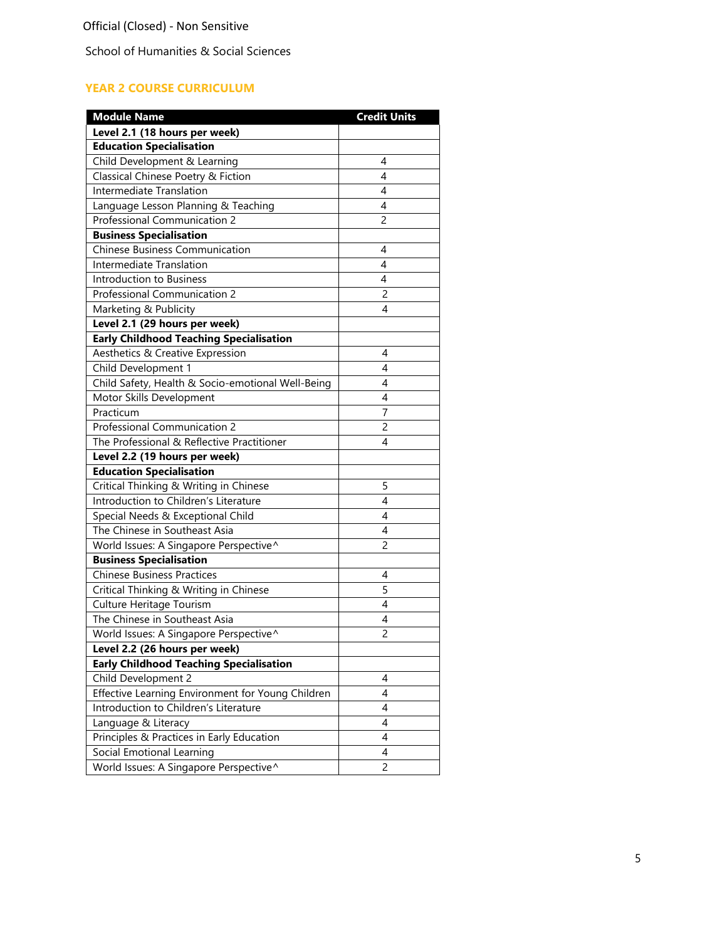# **YEAR 2 COURSE CURRICULUM**

| <b>Module Name</b>                                | <b>Credit Units</b> |
|---------------------------------------------------|---------------------|
| Level 2.1 (18 hours per week)                     |                     |
| <b>Education Specialisation</b>                   |                     |
| Child Development & Learning                      | 4                   |
| Classical Chinese Poetry & Fiction                | 4                   |
| Intermediate Translation                          | 4                   |
| Language Lesson Planning & Teaching               | 4                   |
| <b>Professional Communication 2</b>               | $\overline{2}$      |
| <b>Business Specialisation</b>                    |                     |
| Chinese Business Communication                    | 4                   |
| Intermediate Translation                          | 4                   |
| Introduction to Business                          | 4                   |
| Professional Communication 2                      | $\overline{c}$      |
| Marketing & Publicity                             | 4                   |
| Level 2.1 (29 hours per week)                     |                     |
| <b>Early Childhood Teaching Specialisation</b>    |                     |
| Aesthetics & Creative Expression                  | 4                   |
| Child Development 1                               | 4                   |
| Child Safety, Health & Socio-emotional Well-Being | 4                   |
| Motor Skills Development                          | 4                   |
| Practicum                                         | 7                   |
| <b>Professional Communication 2</b>               | 2                   |
| The Professional & Reflective Practitioner        | 4                   |
| Level 2.2 (19 hours per week)                     |                     |
| <b>Education Specialisation</b>                   |                     |
| Critical Thinking & Writing in Chinese            | 5                   |
| Introduction to Children's Literature             | 4                   |
| Special Needs & Exceptional Child                 | 4                   |
| The Chinese in Southeast Asia                     | 4                   |
| World Issues: A Singapore Perspective^            | 2                   |
| <b>Business Specialisation</b>                    |                     |
| <b>Chinese Business Practices</b>                 | 4                   |
| Critical Thinking & Writing in Chinese            | 5                   |
| Culture Heritage Tourism                          | $\overline{4}$      |
| The Chinese in Southeast Asia                     | 4                   |
| World Issues: A Singapore Perspective^            | $\overline{2}$      |
| Level 2.2 (26 hours per week)                     |                     |
| <b>Early Childhood Teaching Specialisation</b>    |                     |
| Child Development 2                               | 4                   |
| Effective Learning Environment for Young Children | 4                   |
| Introduction to Children's Literature             | 4                   |
| Language & Literacy                               | $\overline{4}$      |
| Principles & Practices in Early Education         | 4                   |
| Social Emotional Learning                         | 4                   |
| World Issues: A Singapore Perspective^            | 2                   |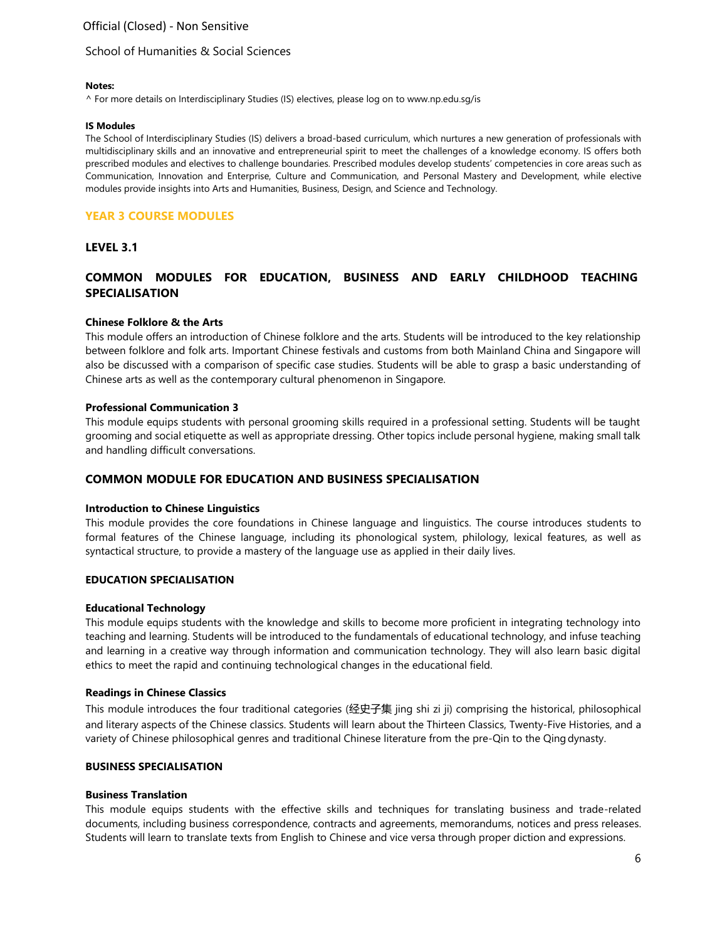## School of Humanities & Social Sciences

#### **Notes:**

^ For more details on Interdisciplinary Studies (IS) electives, please log on to [www.np.edu.sg/is](http://www.np.edu.sg/is)

#### **IS Modules**

The School of Interdisciplinary Studies (IS) delivers a broad-based curriculum, which nurtures a new generation of professionals with multidisciplinary skills and an innovative and entrepreneurial spirit to meet the challenges of a knowledge economy. IS offers both prescribed modules and electives to challenge boundaries. Prescribed modules develop students' competencies in core areas such as Communication, Innovation and Enterprise, Culture and Communication, and Personal Mastery and Development, while elective modules provide insights into Arts and Humanities, Business, Design, and Science and Technology.

## **YEAR 3 COURSE MODULES**

## **LEVEL 3.1**

## **COMMON MODULES FOR EDUCATION, BUSINESS AND EARLY CHILDHOOD TEACHING SPECIALISATION**

### **Chinese Folklore & the Arts**

This module offers an introduction of Chinese folklore and the arts. Students will be introduced to the key relationship between folklore and folk arts. Important Chinese festivals and customs from both Mainland China and Singapore will also be discussed with a comparison of specific case studies. Students will be able to grasp a basic understanding of Chinese arts as well as the contemporary cultural phenomenon in Singapore.

### **Professional Communication 3**

This module equips students with personal grooming skills required in a professional setting. Students will be taught grooming and social etiquette as well as appropriate dressing. Other topics include personal hygiene, making small talk and handling difficult conversations.

# **COMMON MODULE FOR EDUCATION AND BUSINESS SPECIALISATION**

### **Introduction to Chinese Linguistics**

This module provides the core foundations in Chinese language and linguistics. The course introduces students to formal features of the Chinese language, including its phonological system, philology, lexical features, as well as syntactical structure, to provide a mastery of the language use as applied in their daily lives.

## **EDUCATION SPECIALISATION**

### **Educational Technology**

This module equips students with the knowledge and skills to become more proficient in integrating technology into teaching and learning. Students will be introduced to the fundamentals of educational technology, and infuse teaching and learning in a creative way through information and communication technology. They will also learn basic digital ethics to meet the rapid and continuing technological changes in the educational field.

### **Readings in Chinese Classics**

This module introduces the four traditional categories (经史子集 jing shi zi ji) comprising the historical, philosophical and literary aspects of the Chinese classics. Students will learn about the Thirteen Classics, Twenty-Five Histories, and a variety of Chinese philosophical genres and traditional Chinese literature from the pre-Qin to the Qingdynasty.

### **BUSINESS SPECIALISATION**

### **Business Translation**

This module equips students with the effective skills and techniques for translating business and trade-related documents, including business correspondence, contracts and agreements, memorandums, notices and press releases. Students will learn to translate texts from English to Chinese and vice versa through proper diction and expressions.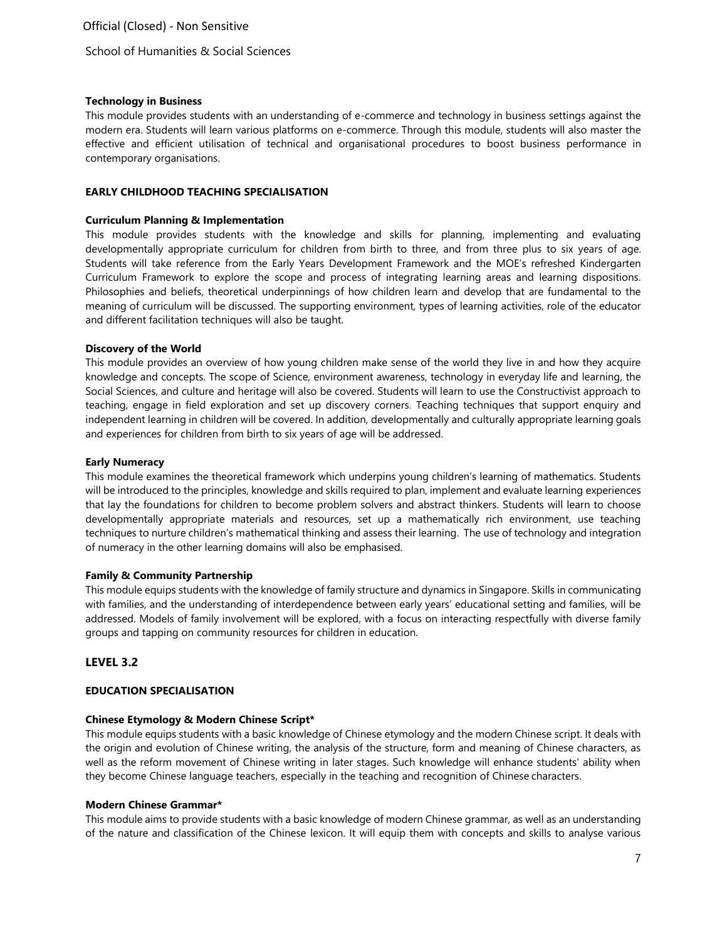### **Technology in Business**

This module provides students with an understanding of e-commerce and technology in business settings against the modern era. Students will learn various platforms on e-commerce. Through this module, students will also master the effective and efficient utilisation of technical and organisational procedures to boost business performance in contemporary organisations.

## **EARLY CHILDHOOD TEACHING SPECIALISATION**

### **Curriculum Planning & Implementation**

This module provides students with the knowledge and skills for planning, implementing and evaluating developmentally appropriate curriculum for children from birth to three, and from three plus to six years of age. Students will take reference from the Early Years Development Framework and the MOE's refreshed Kindergarten Curriculum Framework to explore the scope and process of integrating learning areas and learning dispositions. Philosophies and beliefs, theoretical underpinnings of how children learn and develop that are fundamental to the meaning of curriculum will be discussed. The supporting environment, types of learning activities, role of the educator and different facilitation techniques will also be taught.

## **Discovery of the World**

This module provides an overview of how young children make sense of the world they live in and how they acquire knowledge and concepts. The scope of Science, environment awareness, technology in everyday life and learning, the Social Sciences, and culture and heritage will also be covered. Students will learn to use the Constructivist approach to teaching, engage in field exploration and set up discovery corners. Teaching techniques that support enquiry and independent learning in children will be covered. In addition, developmentally and culturally appropriate learning goals and experiences for children from birth to six years of age will be addressed.

## **Early Numeracy**

This module examines the theoretical framework which underpins young children's learning of mathematics. Students will be introduced to the principles, knowledge and skills required to plan, implement and evaluate learning experiences that lay the foundations for children to become problem solvers and abstract thinkers. Students will learn to choose developmentally appropriate materials and resources, set up a mathematically rich environment, use teaching techniques to nurture children's mathematical thinking and assess their learning. The use of technology and integration of numeracy in the other learning domains will also be emphasised.

### **Family & Community Partnership**

This module equips students with the knowledge of family structure and dynamics in Singapore. Skills in communicating with families, and the understanding of interdependence between early years' educational setting and families, will be addressed. Models of family involvement will be explored, with a focus on interacting respectfully with diverse family groups and tapping on community resources for children in education.

## **LEVEL 3.2**

## **EDUCATION SPECIALISATION**

## **Chinese Etymology & Modern Chinese Script\***

This module equips students with a basic knowledge of Chinese etymology and the modern Chinese script. It deals with the origin and evolution of Chinese writing, the analysis of the structure, form and meaning of Chinese characters, as well as the reform movement of Chinese writing in later stages. Such knowledge will enhance students' ability when they become Chinese language teachers, especially in the teaching and recognition of Chinese characters.

### **Modern Chinese Grammar\***

This module aims to provide students with a basic knowledge of modern Chinese grammar, as well as an understanding of the nature and classification of the Chinese lexicon. It will equip them with concepts and skills to analyse various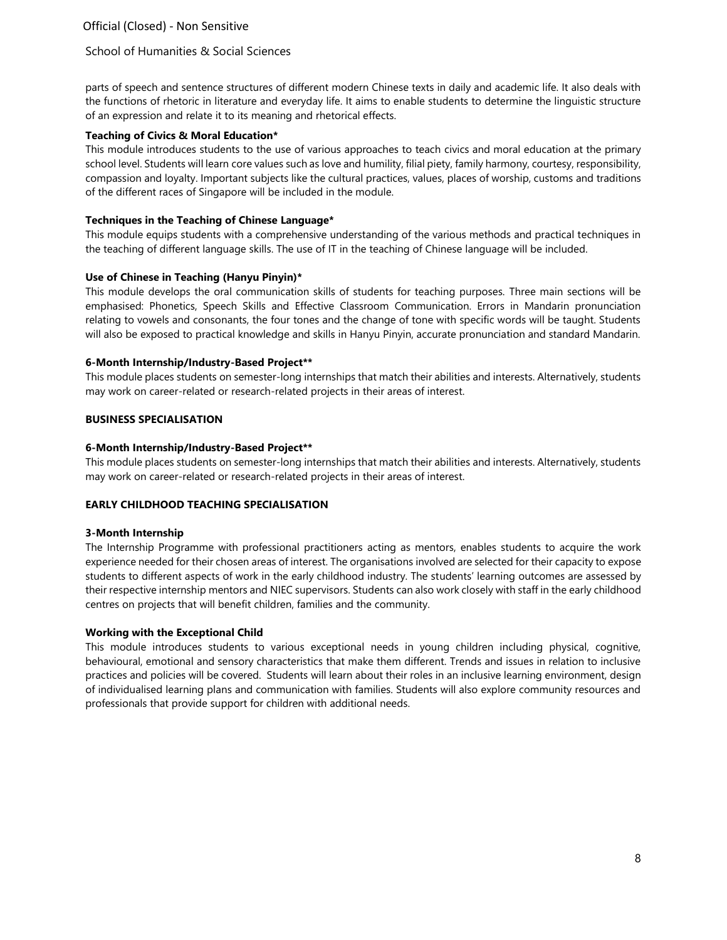## School of Humanities & Social Sciences

parts of speech and sentence structures of different modern Chinese texts in daily and academic life. It also deals with the functions of rhetoric in literature and everyday life. It aims to enable students to determine the linguistic structure of an expression and relate it to its meaning and rhetorical effects.

#### **Teaching of Civics & Moral Education\***

This module introduces students to the use of various approaches to teach civics and moral education at the primary school level. Students will learn core values such as love and humility, filial piety, family harmony, courtesy, responsibility, compassion and loyalty. Important subjects like the cultural practices, values, places of worship, customs and traditions of the different races of Singapore will be included in the module.

#### **Techniques in the Teaching of Chinese Language\***

This module equips students with a comprehensive understanding of the various methods and practical techniques in the teaching of different language skills. The use of IT in the teaching of Chinese language will be included.

### **Use of Chinese in Teaching (Hanyu Pinyin)\***

This module develops the oral communication skills of students for teaching purposes. Three main sections will be emphasised: Phonetics, Speech Skills and Effective Classroom Communication. Errors in Mandarin pronunciation relating to vowels and consonants, the four tones and the change of tone with specific words will be taught. Students will also be exposed to practical knowledge and skills in Hanyu Pinyin, accurate pronunciation and standard Mandarin.

#### **6-Month Internship/Industry-Based Project\*\***

This module places students on semester-long internships that match their abilities and interests. Alternatively, students may work on career-related or research-related projects in their areas of interest.

#### **BUSINESS SPECIALISATION**

#### **6-Month Internship/Industry-Based Project\*\***

This module places students on semester-long internships that match their abilities and interests. Alternatively, students may work on career-related or research-related projects in their areas of interest.

### **EARLY CHILDHOOD TEACHING SPECIALISATION**

#### **3-Month Internship**

The Internship Programme with professional practitioners acting as mentors, enables students to acquire the work experience needed for their chosen areas of interest. The organisations involved are selected for their capacity to expose students to different aspects of work in the early childhood industry. The students' learning outcomes are assessed by their respective internship mentors and NIEC supervisors. Students can also work closely with staff in the early childhood centres on projects that will benefit children, families and the community.

### **Working with the Exceptional Child**

This module introduces students to various exceptional needs in young children including physical, cognitive, behavioural, emotional and sensory characteristics that make them different. Trends and issues in relation to inclusive practices and policies will be covered. Students will learn about their roles in an inclusive learning environment, design of individualised learning plans and communication with families. Students will also explore community resources and professionals that provide support for children with additional needs.